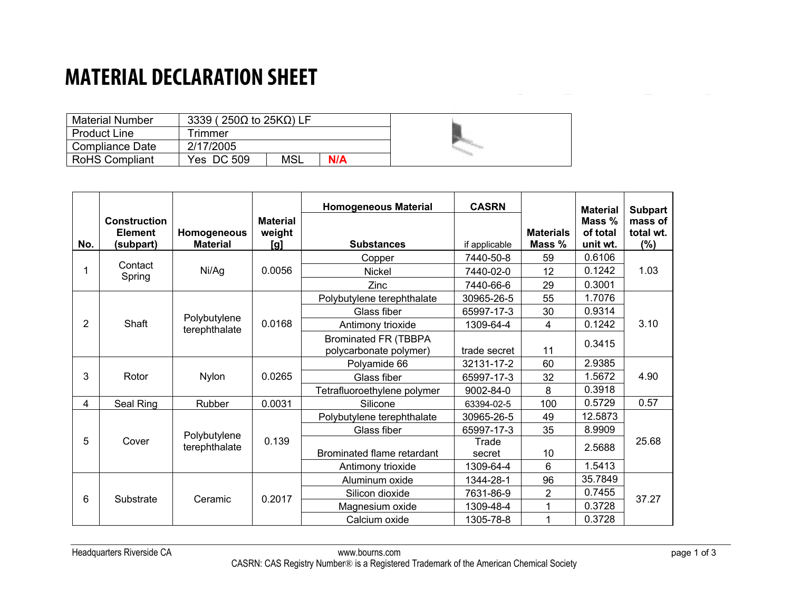### **MATERIAL DECLARATION SHEET**

| <b>Material Number</b> |            | 3339 (250 $\Omega$ to 25K $\Omega$ ) LF |     |  |
|------------------------|------------|-----------------------------------------|-----|--|
| <b>Product Line</b>    | Frimmer    |                                         |     |  |
| <b>Compliance Date</b> | 2/17/2005  |                                         |     |  |
| <b>RoHS Compliant</b>  | Yes DC 509 | <b>MSL</b>                              | N/A |  |

| No. | <b>Construction</b><br><b>Element</b><br>(subpart) | Homogeneous<br><b>Material</b> | <b>Material</b><br>weight<br>[g] | <b>Homogeneous Material</b><br><b>Substances</b>      | <b>CASRN</b><br>if applicable | <b>Materials</b><br>Mass % | <b>Material</b><br>Mass %<br>of total<br>unit wt. | <b>Subpart</b><br>mass of<br>total wt.<br>(%) |
|-----|----------------------------------------------------|--------------------------------|----------------------------------|-------------------------------------------------------|-------------------------------|----------------------------|---------------------------------------------------|-----------------------------------------------|
|     | Contact                                            |                                |                                  | Copper                                                | 7440-50-8                     | 59                         | 0.6106                                            |                                               |
|     | Spring                                             | Ni/Ag                          | 0.0056                           | Nickel                                                | 7440-02-0                     | 12                         | 0.1242                                            | 1.03                                          |
|     |                                                    |                                |                                  | Zinc                                                  | 7440-66-6                     | 29                         | 0.3001                                            |                                               |
|     |                                                    |                                |                                  | Polybutylene terephthalate                            | 30965-26-5                    | 55                         | 1.7076                                            |                                               |
|     |                                                    |                                |                                  | Glass fiber                                           | 65997-17-3                    | 30                         | 0.9314                                            |                                               |
| 2   | Shaft                                              | Polybutylene<br>terephthalate  | 0.0168                           | Antimony trioxide                                     | 1309-64-4                     | 4                          | 0.1242                                            | 3.10                                          |
|     |                                                    |                                |                                  | <b>Brominated FR (TBBPA</b><br>polycarbonate polymer) | trade secret                  | 11                         | 0.3415                                            |                                               |
|     |                                                    |                                |                                  | Polyamide 66                                          | 32131-17-2                    | 60                         | 2.9385                                            |                                               |
| 3   | Rotor                                              | <b>Nylon</b>                   | 0.0265                           | Glass fiber                                           | 65997-17-3                    | 32                         | 1.5672                                            | 4.90                                          |
|     |                                                    |                                |                                  | Tetrafluoroethylene polymer                           | 9002-84-0                     | 8                          | 0.3918                                            |                                               |
| 4   | Seal Ring                                          | Rubber                         | 0.0031                           | Silicone                                              | 63394-02-5                    | 100                        | 0.5729                                            | 0.57                                          |
|     |                                                    |                                |                                  | Polybutylene terephthalate                            | 30965-26-5                    | 49                         | 12.5873                                           |                                               |
|     |                                                    | Polybutylene                   |                                  | Glass fiber                                           | 65997-17-3                    | 35                         | 8.9909                                            |                                               |
| 5   | Cover                                              | terephthalate                  | 0.139                            | Brominated flame retardant                            | Trade<br>secret               | 10                         | 2.5688                                            | 25.68                                         |
|     |                                                    |                                |                                  | Antimony trioxide                                     | 1309-64-4                     | $6\phantom{1}$             | 1.5413                                            |                                               |
|     |                                                    |                                |                                  | Aluminum oxide                                        | 1344-28-1                     | 96                         | 35.7849                                           |                                               |
| 6   | Substrate                                          | Ceramic                        | 0.2017                           | Silicon dioxide                                       | 7631-86-9                     | $\overline{2}$             | 0.7455                                            | 37.27                                         |
|     |                                                    |                                |                                  | Magnesium oxide                                       | 1309-48-4                     |                            | 0.3728                                            |                                               |
|     |                                                    |                                |                                  | Calcium oxide                                         | 1305-78-8                     |                            | 0.3728                                            |                                               |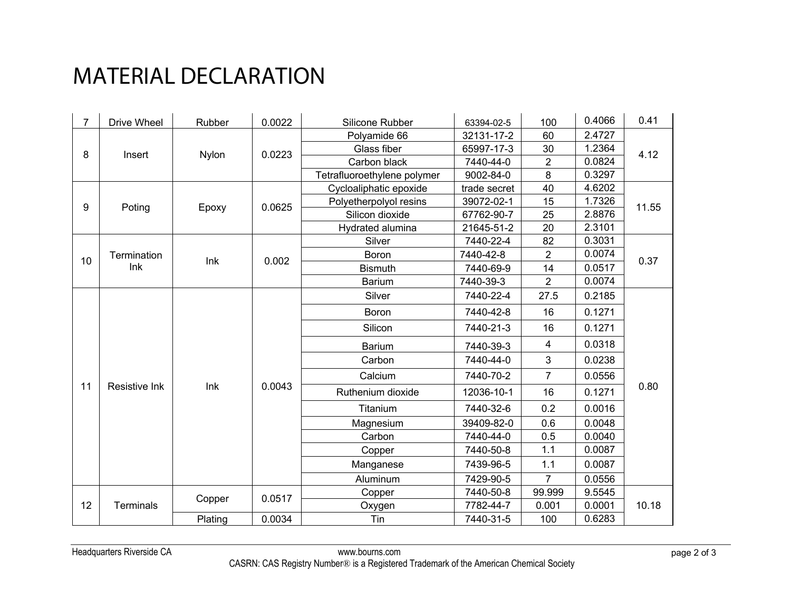# MATERIAL DECLARATION

| $\overline{7}$ | Drive Wheel      | Rubber  | 0.0022 | Silicone Rubber             | 63394-02-5   | 100            | 0.4066 | 0.41  |
|----------------|------------------|---------|--------|-----------------------------|--------------|----------------|--------|-------|
|                |                  | Nylon   | 0.0223 | Polyamide 66                | 32131-17-2   | 60             | 2.4727 | 4.12  |
| 8              | Insert           |         |        | Glass fiber                 | 65997-17-3   | 30             | 1.2364 |       |
|                |                  |         |        | Carbon black                | 7440-44-0    | $\overline{2}$ | 0.0824 |       |
|                |                  |         |        | Tetrafluoroethylene polymer | 9002-84-0    | 8              | 0.3297 |       |
|                |                  |         |        | Cycloaliphatic epoxide      | trade secret | 40             | 4.6202 |       |
| 9              | Poting           | Epoxy   | 0.0625 | Polyetherpolyol resins      | 39072-02-1   | 15             | 1.7326 | 11.55 |
|                |                  |         |        | Silicon dioxide             | 67762-90-7   | 25             | 2.8876 |       |
|                |                  |         |        | Hydrated alumina            | 21645-51-2   | 20             | 2.3101 |       |
|                |                  |         |        | Silver                      | 7440-22-4    | 82             | 0.3031 |       |
| 10             | Termination      | Ink     | 0.002  | Boron                       | 7440-42-8    | $\overline{2}$ | 0.0074 | 0.37  |
|                | Ink              |         |        | <b>Bismuth</b>              | 7440-69-9    | 14             | 0.0517 |       |
|                |                  |         |        | <b>Barium</b>               | 7440-39-3    | $\overline{2}$ | 0.0074 |       |
|                |                  |         | 0.0043 | Silver                      | 7440-22-4    | 27.5           | 0.2185 | 0.80  |
|                |                  |         |        | Boron                       | 7440-42-8    | 16             | 0.1271 |       |
|                |                  |         |        | Silicon                     | 7440-21-3    | 16             | 0.1271 |       |
|                |                  |         |        | <b>Barium</b>               | 7440-39-3    | 4              | 0.0318 |       |
|                |                  |         |        | Carbon                      | 7440-44-0    | 3              | 0.0238 |       |
|                |                  |         |        | Calcium                     | 7440-70-2    | 7              | 0.0556 |       |
| 11             | Resistive Ink    | Ink     |        | Ruthenium dioxide           | 12036-10-1   | 16             | 0.1271 |       |
|                |                  |         |        | Titanium                    | 7440-32-6    | 0.2            | 0.0016 |       |
|                |                  |         |        | Magnesium                   | 39409-82-0   | 0.6            | 0.0048 |       |
|                |                  |         |        | Carbon                      | 7440-44-0    | 0.5            | 0.0040 |       |
|                |                  |         |        | Copper                      | 7440-50-8    | 1.1            | 0.0087 |       |
|                |                  |         |        | Manganese                   | 7439-96-5    | 1.1            | 0.0087 |       |
|                |                  |         |        | Aluminum                    | 7429-90-5    | $\overline{7}$ | 0.0556 |       |
|                |                  |         |        | Copper                      | 7440-50-8    | 99.999         | 9.5545 |       |
| 12             | <b>Terminals</b> | Copper  | 0.0517 | Oxygen                      | 7782-44-7    | 0.001          | 0.0001 | 10.18 |
|                |                  | Plating | 0.0034 | Tin                         | 7440-31-5    | 100            | 0.6283 |       |